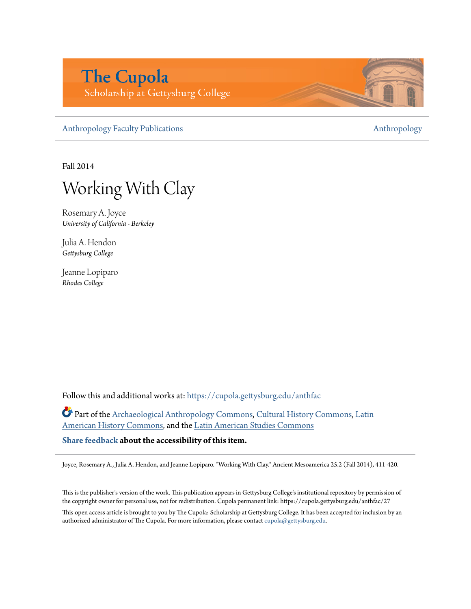# **The Cupola** Scholarship at Gettysburg College

[Anthropology Faculty Publications](https://cupola.gettysburg.edu/anthfac?utm_source=cupola.gettysburg.edu%2Fanthfac%2F27&utm_medium=PDF&utm_campaign=PDFCoverPages) **[Anthropology](https://cupola.gettysburg.edu/anthropology?utm_source=cupola.gettysburg.edu%2Fanthfac%2F27&utm_medium=PDF&utm_campaign=PDFCoverPages)** 

Fall 2014

Working With Clay

Rosemary A. Joyce *University of California - Berkeley*

Julia A. Hendon *Gettysburg College*

Jeanne Lopiparo *Rhodes College*

Follow this and additional works at: [https://cupola.gettysburg.edu/anthfac](https://cupola.gettysburg.edu/anthfac?utm_source=cupola.gettysburg.edu%2Fanthfac%2F27&utm_medium=PDF&utm_campaign=PDFCoverPages)

Part of the [Archaeological Anthropology Commons,](http://network.bepress.com/hgg/discipline/319?utm_source=cupola.gettysburg.edu%2Fanthfac%2F27&utm_medium=PDF&utm_campaign=PDFCoverPages) [Cultural History Commons,](http://network.bepress.com/hgg/discipline/496?utm_source=cupola.gettysburg.edu%2Fanthfac%2F27&utm_medium=PDF&utm_campaign=PDFCoverPages) [Latin](http://network.bepress.com/hgg/discipline/494?utm_source=cupola.gettysburg.edu%2Fanthfac%2F27&utm_medium=PDF&utm_campaign=PDFCoverPages) [American History Commons,](http://network.bepress.com/hgg/discipline/494?utm_source=cupola.gettysburg.edu%2Fanthfac%2F27&utm_medium=PDF&utm_campaign=PDFCoverPages) and the [Latin American Studies Commons](http://network.bepress.com/hgg/discipline/363?utm_source=cupola.gettysburg.edu%2Fanthfac%2F27&utm_medium=PDF&utm_campaign=PDFCoverPages)

**[Share feedback](https://docs.google.com/a/bepress.com/forms/d/1h9eEcpBPj5POs5oO6Y5A0blXRmZqykoonyYiZUNyEq8/viewform) about the accessibility of this item.**

Joyce, Rosemary A., Julia A. Hendon, and Jeanne Lopiparo. "Working With Clay." Ancient Mesoamerica 25.2 (Fall 2014), 411-420.

This is the publisher's version of the work. This publication appears in Gettysburg College's institutional repository by permission of the copyright owner for personal use, not for redistribution. Cupola permanent link: https://cupola.gettysburg.edu/anthfac/27

This open access article is brought to you by The Cupola: Scholarship at Gettysburg College. It has been accepted for inclusion by an authorized administrator of The Cupola. For more information, please contact [cupola@gettysburg.edu.](mailto:cupola@gettysburg.edu)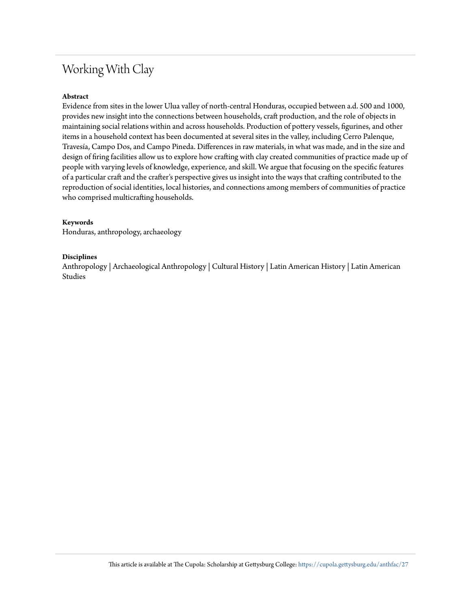## Working With Clay

## **Abstract**

Evidence from sites in the lower Ulua valley of north-central Honduras, occupied between a.d. 500 and 1000, provides new insight into the connections between households, craft production, and the role of objects in maintaining social relations within and across households. Production of pottery vessels, figurines, and other items in a household context has been documented at several sites in the valley, including Cerro Palenque, Travesía, Campo Dos, and Campo Pineda. Differences in raw materials, in what was made, and in the size and design of firing facilities allow us to explore how crafting with clay created communities of practice made up of people with varying levels of knowledge, experience, and skill. We argue that focusing on the specific features of a particular craft and the crafter's perspective gives us insight into the ways that crafting contributed to the reproduction of social identities, local histories, and connections among members of communities of practice who comprised multicrafting households.

## **Keywords**

Honduras, anthropology, archaeology

## **Disciplines**

Anthropology | Archaeological Anthropology | Cultural History | Latin American History | Latin American Studies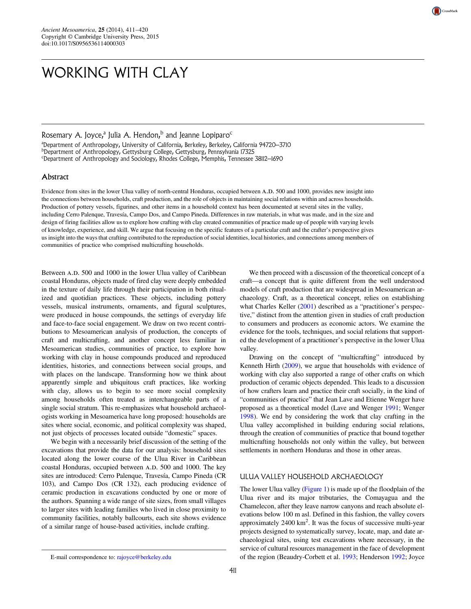# WORKING WITH CLAY

Rosemary A. Joyce,<sup>a</sup> Julia A. Hendon,<sup>b</sup> and Jeanne Lopiparo<sup>c</sup> <sup>a</sup>Department of Anthropology, University of California, Berkeley, Berkeley, California 94720–3710<br><sup>b</sup>Department of Anthropology, Gettychurg Colloge, Gettychurg, Pennsylvania 17325 Department of Anthropology, Gettysburg College, Gettysburg, Pennsylvania 17325 c Department of Anthropology and Sociology, Rhodes College, Memphis, Tennessee 38112–1690

### Abstract

Evidence from sites in the lower Ulua valley of north-central Honduras, occupied between A.D. 500 and 1000, provides new insight into the connections between households, craft production, and the role of objects in maintaining social relations within and across households. Production of pottery vessels, figurines, and other items in a household context has been documented at several sites in the valley, including Cerro Palenque, Travesía, Campo Dos, and Campo Pineda. Differences in raw materials, in what was made, and in the size and design of firing facilities allow us to explore how crafting with clay created communities of practice made up of people with varying levels of knowledge, experience, and skill. We argue that focusing on the specific features of a particular craft and the crafter's perspective gives us insight into the ways that crafting contributed to the reproduction of social identities, local histories, and connections among members of communities of practice who comprised multicrafting households.

Between A.D. 500 and 1000 in the lower Ulua valley of Caribbean coastal Honduras, objects made of fired clay were deeply embedded in the texture of daily life through their participation in both ritualized and quotidian practices. These objects, including pottery vessels, musical instruments, ornaments, and figural sculptures, were produced in house compounds, the settings of everyday life and face-to-face social engagement. We draw on two recent contributions to Mesoamerican analysis of production, the concepts of craft and multicrafting, and another concept less familiar in Mesoamerican studies, communities of practice, to explore how working with clay in house compounds produced and reproduced identities, histories, and connections between social groups, and with places on the landscape. Transforming how we think about apparently simple and ubiquitous craft practices, like working with clay, allows us to begin to see more social complexity among households often treated as interchangeable parts of a single social stratum. This re-emphasizes what household archaeologists working in Mesoamerica have long proposed: households are sites where social, economic, and political complexity was shaped, not just objects of processes located outside "domestic" spaces.

We begin with a necessarily brief discussion of the setting of the excavations that provide the data for our analysis: household sites located along the lower course of the Ulua River in Caribbean coastal Honduras, occupied between A.D. 500 and 1000. The key sites are introduced: Cerro Palenque, Travesía, Campo Pineda (CR 103), and Campo Dos (CR 132), each producing evidence of ceramic production in excavations conducted by one or more of the authors. Spanning a wide range of site sizes, from small villages to larger sites with leading families who lived in close proximity to community facilities, notably ballcourts, each site shows evidence of a similar range of house-based activities, include crafting.

We then proceed with a discussion of the theoretical concept of a craft—a concept that is quite different from the well understood models of craft production that are widespread in Mesoamerican archaeology. Craft, as a theoretical concept, relies on establishing what Charles Keller (2001) described as a "practitioner's perspective," distinct from the attention given in studies of craft production to consumers and producers as economic actors. We examine the evidence for the tools, techniques, and social relations that supported the development of a practitioner's perspective in the lower Ulua valley.

Drawing on the concept of "multicrafting" introduced by Kenneth Hirth (2009), we argue that households with evidence of working with clay also supported a range of other crafts on which production of ceramic objects depended. This leads to a discussion of how crafters learn and practice their craft socially, in the kind of "communities of practice" that Jean Lave and Etienne Wenger have proposed as a theoretical model (Lave and Wenger 1991; Wenger 1998). We end by considering the work that clay crafting in the Ulua valley accomplished in building enduring social relations, through the creation of communities of practice that bound together multicrafting households not only within the valley, but between settlements in northern Honduras and those in other areas.

## ULUA VALLEY HOUSEHOLD ARCHAEOLOGY

The lower Ulua valley (Figure 1) is made up of the floodplain of the Ulua river and its major tributaries, the Comayagua and the Chamelecon, after they leave narrow canyons and reach absolute elevations below 100 m asl. Defined in this fashion, the valley covers approximately  $2400 \text{ km}^2$ . It was the focus of successive multi-year projects designed to systematically survey, locate, map, and date archaeological sites, using test excavations where necessary, in the service of cultural resources management in the face of development of the region (Beaudry-Corbett et al. 1993; Henderson 1992; Joyce



E-mail correspondence to: [rajoyce@berkeley.edu](mailto:rajoyce@berkeley.edu)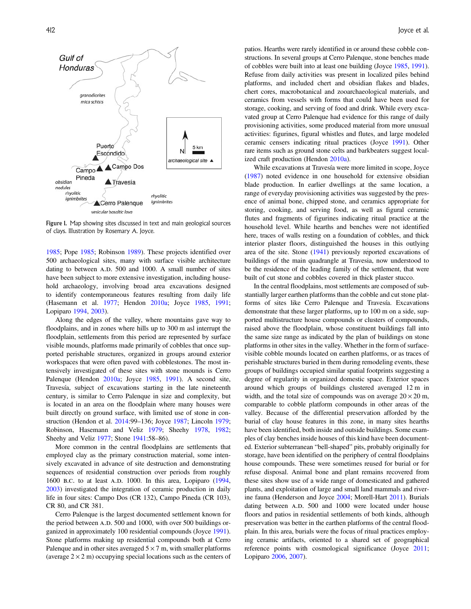

Figure 1. Map showing sites discussed in text and main geological sources of clays. Illustration by Rosemary A. Joyce.

1985; Pope 1985; Robinson 1989). These projects identified over 500 archaeological sites, many with surface visible architecture dating to between A.D. 500 and 1000. A small number of sites have been subject to more extensive investigation, including household archaeology, involving broad area excavations designed to identify contemporaneous features resulting from daily life (Hasemann et al. 1977; Hendon 2010a; Joyce 1985, 1991; Lopiparo 1994, 2003).

Along the edges of the valley, where mountains gave way to floodplains, and in zones where hills up to 300 m asl interrupt the floodplain, settlements from this period are represented by surface visible mounds, platforms made primarily of cobbles that once supported perishable structures, organized in groups around exterior workspaces that were often paved with cobblestones. The most intensively investigated of these sites with stone mounds is Cerro Palenque (Hendon 2010a; Joyce 1985, 1991). A second site, Travesía, subject of excavations starting in the late nineteenth century, is similar to Cerro Palenque in size and complexity, but is located in an area on the floodplain where many houses were built directly on ground surface, with limited use of stone in construction (Hendon et al. 2014:99–136; Joyce 1987; Lincoln 1979; Robinson, Hasemann and Veliz 1979; Sheehy 1978, 1982; Sheehy and Veliz 1977; Stone 1941:58–86).

More common in the central floodplains are settlements that employed clay as the primary construction material, some intensively excavated in advance of site destruction and demonstrating sequences of residential construction over periods from roughly 1600 B.C. to at least A.D. 1000. In this area, Lopiparo  $(1994,$ 2003) investigated the integration of ceramic production in daily life in four sites: Campo Dos (CR 132), Campo Pineda (CR 103), CR 80, and CR 381.

Cerro Palenque is the largest documented settlement known for the period between A.D. 500 and 1000, with over 500 buildings organized in approximately 100 residential compounds (Joyce 1991). Stone platforms making up residential compounds both at Cerro Palenque and in other sites averaged  $5 \times 7$  m, with smaller platforms (average  $2 \times 2$  m) occupying special locations such as the centers of patios. Hearths were rarely identified in or around these cobble constructions. In several groups at Cerro Palenque, stone benches made of cobbles were built into at least one building (Joyce 1985, 1991). Refuse from daily activities was present in localized piles behind platforms, and included chert and obsidian flakes and blades, chert cores, macrobotanical and zooarchaeological materials, and ceramics from vessels with forms that could have been used for storage, cooking, and serving of food and drink. While every excavated group at Cerro Palenque had evidence for this range of daily provisioning activities, some produced material from more unusual activities: figurines, figural whistles and flutes, and large modeled ceramic censers indicating ritual practices (Joyce 1991). Other rare items such as ground stone celts and barkbeaters suggest localized craft production (Hendon 2010a).

While excavations at Travesía were more limited in scope, Joyce (1987) noted evidence in one household for extensive obsidian blade production. In earlier dwellings at the same location, a range of everyday provisioning activities was suggested by the presence of animal bone, chipped stone, and ceramics appropriate for storing, cooking, and serving food, as well as figural ceramic flutes and fragments of figurines indicating ritual practice at the household level. While hearths and benches were not identified here, traces of walls resting on a foundation of cobbles, and thick interior plaster floors, distinguished the houses in this outlying area of the site. Stone (1941) previously reported excavations of buildings of the main quadrangle at Travesia, now understood to be the residence of the leading family of the settlement, that were built of cut stone and cobbles covered in thick plaster stucco.

In the central floodplains, most settlements are composed of substantially larger earthen platforms than the cobble and cut stone platforms of sites like Cerro Palenque and Travesía. Excavations demonstrate that these larger platforms, up to 100 m on a side, supported multistructure house compounds or clusters of compounds, raised above the floodplain, whose constituent buildings fall into the same size range as indicated by the plan of buildings on stone platforms in other sites in the valley. Whether in the form of surfacevisible cobble mounds located on earthen platforms, or as traces of perishable structures buried in them during remodeling events, these groups of buildings occupied similar spatial footprints suggesting a degree of regularity in organized domestic space. Exterior spaces around which groups of buildings clustered averaged 12 m in width, and the total size of compounds was on average  $20 \times 20$  m, comparable to cobble platform compounds in other areas of the valley. Because of the differential preservation afforded by the burial of clay house features in this zone, in many sites hearths have been identified, both inside and outside buildings. Some examples of clay benches inside houses of this kind have been documented. Exterior subterranean "bell-shaped" pits, probably originally for storage, have been identified on the periphery of central floodplains house compounds. These were sometimes reused for burial or for refuse disposal. Animal bone and plant remains recovered from these sites show use of a wide range of domesticated and gathered plants, and exploitation of large and small land mammals and riverine fauna (Henderson and Joyce 2004; Morell-Hart 2011). Burials dating between A.D. 500 and 1000 were located under house floors and patios in residential settlements of both kinds, although preservation was better in the earthen platforms of the central floodplain. In this area, burials were the focus of ritual practices employing ceramic artifacts, oriented to a shared set of geographical reference points with cosmological significance (Joyce 2011; Lopiparo 2006, 2007).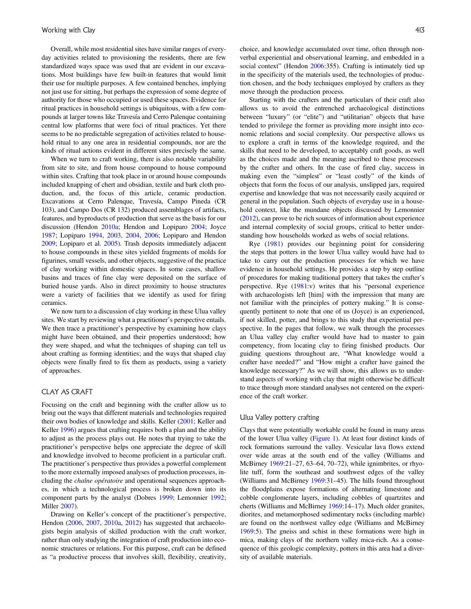Overall, while most residential sites have similar ranges of everyday activities related to provisioning the residents, there are few standardized ways space was used that are evident in our excavations. Most buildings have few built-in features that would limit their use for multiple purposes. A few contained benches, implying not just use for sitting, but perhaps the expression of some degree of authority for those who occupied or used these spaces. Evidence for ritual practices in household settings is ubiquitous, with a few compounds at larger towns like Travesía and Cerro Palenque containing central low platforms that were foci of ritual practices. Yet there seems to be no predictable segregation of activities related to household ritual to any one area in residential compounds, nor are the kinds of ritual actions evident in different sites precisely the same.

When we turn to craft working, there is also notable variability from site to site, and from house compound to house compound within sites. Crafting that took place in or around house compounds included knapping of chert and obsidian, textile and bark cloth production, and, the focus of this article, ceramic production. Excavations at Cerro Palenque, Travesía, Campo Pineda (CR 103), and Campo Dos (CR 132) produced assemblages of artifacts, features, and byproducts of production that serve as the basis for our discussion (Hendon 2010a; Hendon and Lopiparo 2004; Joyce 1987; Lopiparo 1994, 2003, 2004, 2006; Lopiparo and Hendon 2009; Lopiparo et al. 2005). Trash deposits immediately adjacent to house compounds in these sites yielded fragments of molds for figurines, small vessels, and other objects, suggestive of the practice of clay working within domestic spaces. In some cases, shallow basins and traces of fine clay were deposited on the surface of buried house yards. Also in direct proximity to house structures were a variety of facilities that we identify as used for firing ceramics.

We now turn to a discussion of clay working in these Ulua valley sites. We start by reviewing what a practitioner's perspective entails. We then trace a practitioner's perspective by examining how clays might have been obtained, and their properties understood; how they were shaped, and what the techniques of shaping can tell us about crafting as forming identities; and the ways that shaped clay objects were finally fired to fix them as products, using a variety of approaches.

## CLAY AS CRAFT

Focusing on the craft and beginning with the crafter allow us to bring out the ways that different materials and technologies required their own bodies of knowledge and skills. Keller (2001; Keller and Keller 1996) argues that crafting requires both a plan and the ability to adjust as the process plays out. He notes that trying to take the practitioner's perspective helps one appreciate the degree of skill and knowledge involved to become proficient in a particular craft. The practitioner's perspective thus provides a powerful complement to the more externally imposed analyses of production processes, including the chaîne opératoire and operational sequences approaches, in which a technological process is broken down into its component parts by the analyst (Dobres 1999; Lemonnier 1992; Miller 2007).

Drawing on Keller's concept of the practitioner's perspective, Hendon (2006, 2007, 2010a, 2012) has suggested that archaeologists begin analysis of skilled production with the craft worker, rather than only studying the integration of craft production into economic structures or relations. For this purpose, craft can be defined as "a productive process that involves skill, flexibility, creativity, choice, and knowledge accumulated over time, often through nonverbal experiential and observational learning, and embedded in a social context" (Hendon 2006:355). Crafting is intimately tied up in the specificity of the materials used, the technologies of production chosen, and the body techniques employed by crafters as they move through the production process.

Starting with the crafters and the particulars of their craft also allows us to avoid the entrenched archaeological distinctions between "luxury" (or "elite") and "utilitarian" objects that have tended to privilege the former as providing more insight into economic relations and social complexity. Our perspective allows us to explore a craft in terms of the knowledge required, and the skills that need to be developed, to acceptably craft goods, as well as the choices made and the meaning ascribed to these processes by the crafter and others. In the case of fired clay, success in making even the "simplest" or "least costly" of the kinds of objects that form the focus of our analysis, unslipped jars, required expertise and knowledge that was not necessarily easily acquired or general in the population. Such objects of everyday use in a household context, like the mundane objects discussed by Lemonnier (2012), can prove to be rich sources of information about experience and internal complexity of social groups, critical to better understanding how households worked as webs of social relations.

Rye (1981) provides our beginning point for considering the steps that potters in the lower Ulua valley would have had to take to carry out the production processes for which we have evidence in household settings. He provides a step by step outline of procedures for making traditional pottery that takes the crafter's perspective. Rye (1981:v) writes that his "personal experience with archaeologists left [him] with the impression that many are not familiar with the principles of pottery making." It is consequently pertinent to note that one of us (Joyce) is an experienced, if not skilled, potter, and brings to this study that experiential perspective. In the pages that follow, we walk through the processes an Ulua valley clay crafter would have had to master to gain competency, from locating clay to firing finished products. Our guiding questions throughout are, "What knowledge would a crafter have needed?" and "How might a crafter have gained the knowledge necessary?" As we will show, this allows us to understand aspects of working with clay that might otherwise be difficult to trace through more standard analyses not centered on the experience of the craft worker.

### Ulua Valley pottery crafting

Clays that were potentially workable could be found in many areas of the lower Ulua valley (Figure 1). At least four distinct kinds of rock formations surround the valley. Vesicular lava flows extend over wide areas at the south end of the valley (Williams and McBirney 1969:21–27, 63–64, 70–72), while ignimbrites, or rhyolite tuff, form the southeast and southwest edges of the valley (Williams and McBirney 1969:31–45). The hills found throughout the floodplains expose formations of alternating limestone and cobble conglomerate layers, including cobbles of quartzites and cherts (Williams and McBirney 1969:14–17). Much older granites, diorites, and metamorphosed sedimentary rocks (including marble) are found on the northwest valley edge (Williams and McBirney 1969:5). The gneiss and schist in these formations were high in mica, making clays of the northern valley mica-rich. As a consequence of this geologic complexity, potters in this area had a diversity of available materials.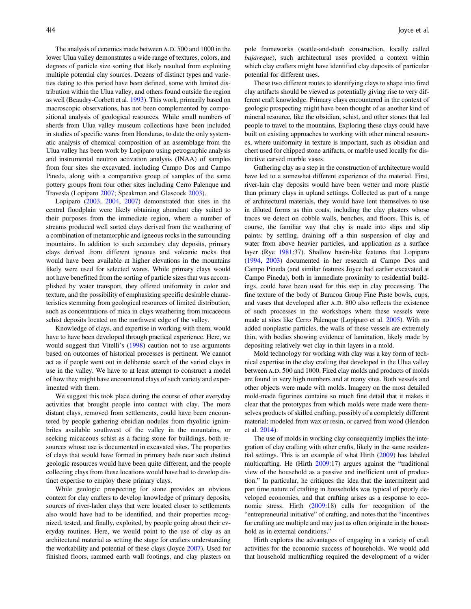The analysis of ceramics made between A.D. 500 and 1000 in the lower Ulua valley demonstrates a wide range of textures, colors, and degrees of particle size sorting that likely resulted from exploiting multiple potential clay sources. Dozens of distinct types and varieties dating to this period have been defined, some with limited distribution within the Ulua valley, and others found outside the region as well (Beaudry-Corbett et al. 1993). This work, primarily based on macroscopic observations, has not been complemented by compositional analysis of geological resources. While small numbers of sherds from Ulua valley museum collections have been included in studies of specific wares from Honduras, to date the only systematic analysis of chemical composition of an assemblage from the Ulua valley has been work by Lopiparo using petrographic analysis and instrumental neutron activation analysis (INAA) of samples from four sites she excavated, including Campo Dos and Campo Pineda, along with a comparative group of samples of the same pottery groups from four other sites including Cerro Palenque and Travesía (Lopiparo 2007; Speakman and Glascock 2003).

Lopiparo (2003, 2004, 2007) demonstrated that sites in the central floodplain were likely obtaining abundant clay suited to their purposes from the immediate region, where a number of streams produced well sorted clays derived from the weathering of a combination of metamorphic and igneous rocks in the surrounding mountains. In addition to such secondary clay deposits, primary clays derived from different igneous and volcanic rocks that would have been available at higher elevations in the mountains likely were used for selected wares. While primary clays would not have benefitted from the sorting of particle sizes that was accomplished by water transport, they offered uniformity in color and texture, and the possibility of emphasizing specific desirable characteristics stemming from geological resources of limited distribution, such as concentrations of mica in clays weathering from micaceous schist deposits located on the northwest edge of the valley.

Knowledge of clays, and expertise in working with them, would have to have been developed through practical experience. Here, we would suggest that Vitelli's (1998) caution not to use arguments based on outcomes of historical processes is pertinent. We cannot act as if people went out in deliberate search of the varied clays in use in the valley. We have to at least attempt to construct a model of how they might have encountered clays of such variety and experimented with them.

We suggest this took place during the course of other everyday activities that brought people into contact with clay. The more distant clays, removed from settlements, could have been encountered by people gathering obsidian nodules from rhyolitic ignimbrites available southwest of the valley in the mountains, or seeking micaceous schist as a facing stone for buildings, both resources whose use is documented in excavated sites. The properties of clays that would have formed in primary beds near such distinct geologic resources would have been quite different, and the people collecting clays from these locations would have had to develop distinct expertise to employ these primary clays.

While geologic prospecting for stone provides an obvious context for clay crafters to develop knowledge of primary deposits, sources of river-laden clays that were located closer to settlements also would have had to be identified, and their properties recognized, tested, and finally, exploited, by people going about their everyday routines. Here, we would point to the use of clay as an architectural material as setting the stage for crafters understanding the workability and potential of these clays (Joyce 2007). Used for finished floors, rammed earth wall footings, and clay plasters on pole frameworks (wattle-and-daub construction, locally called bajareque), such architectural uses provided a context within which clay crafters might have identified clay deposits of particular potential for different uses.

These two different routes to identifying clays to shape into fired clay artifacts should be viewed as potentially giving rise to very different craft knowledge. Primary clays encountered in the context of geologic prospecting might have been thought of as another kind of mineral resource, like the obsidian, schist, and other stones that led people to travel to the mountains. Exploring these clays could have built on existing approaches to working with other mineral resources, where uniformity in texture is important, such as obsidian and chert used for chipped stone artifacts, or marble used locally for distinctive carved marble vases.

Gathering clay as a step in the construction of architecture would have led to a somewhat different experience of the material. First, river-lain clay deposits would have been wetter and more plastic than primary clays in upland settings. Collected as part of a range of architectural materials, they would have lent themselves to use in diluted forms as thin coats, including the clay plasters whose traces we detect on cobble walls, benches, and floors. This is, of course, the familiar way that clay is made into slips and slip paints: by settling, draining off a thin suspension of clay and water from above heavier particles, and application as a surface layer (Rye 1981:37). Shallow basin-like features that Lopiparo (1994, 2003) documented in her research at Campo Dos and Campo Pineda (and similar features Joyce had earlier excavated at Campo Pineda), both in immediate proximity to residential buildings, could have been used for this step in clay processing. The fine texture of the body of Baracoa Group Fine Paste bowls, cups, and vases that developed after A.D. 800 also reflects the existence of such processes in the workshops where these vessels were made at sites like Cerro Palenque (Lopiparo et al. 2005). With no added nonplastic particles, the walls of these vessels are extremely thin, with bodies showing evidence of lamination, likely made by depositing relatively wet clay in thin layers in a mold.

Mold technology for working with clay was a key form of technical expertise in the clay crafting that developed in the Ulua valley between A.D. 500 and 1000. Fired clay molds and products of molds are found in very high numbers and at many sites. Both vessels and other objects were made with molds. Imagery on the most detailed mold-made figurines contains so much fine detail that it makes it clear that the prototypes from which molds were made were themselves products of skilled crafting, possibly of a completely different material: modeled from wax or resin, or carved from wood (Hendon et al. 2014).

The use of molds in working clay consequently implies the integration of clay crafting with other crafts, likely in the same residential settings. This is an example of what Hirth (2009) has labeled multicrafting. He (Hirth 2009:17) argues against the "traditional view of the household as a passive and inefficient unit of production." In particular, he critiques the idea that the intermittent and part time nature of crafting in households was typical of poorly developed economies, and that crafting arises as a response to economic stress. Hirth (2009:18) calls for recognition of the "entrepreneurial initiative" of crafting, and notes that the "incentives for crafting are multiple and may just as often originate in the household as in external conditions."

Hirth explores the advantages of engaging in a variety of craft activities for the economic success of households. We would add that household multicrafting required the development of a wider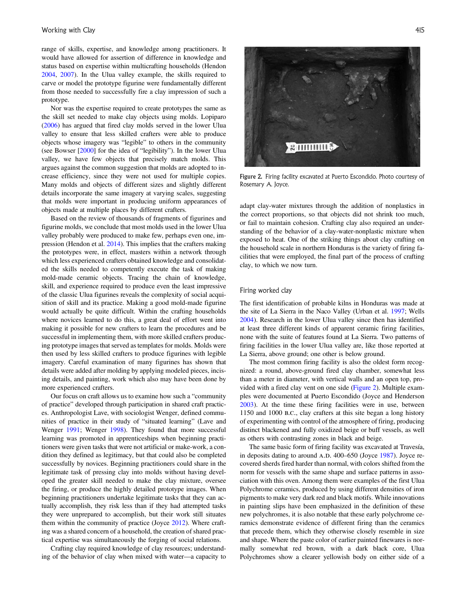range of skills, expertise, and knowledge among practitioners. It would have allowed for assertion of difference in knowledge and status based on expertise within multicrafting households (Hendon 2004, 2007). In the Ulua valley example, the skills required to carve or model the prototype figurine were fundamentally different from those needed to successfully fire a clay impression of such a prototype.

Nor was the expertise required to create prototypes the same as the skill set needed to make clay objects using molds. Lopiparo (2006) has argued that fired clay molds served in the lower Ulua valley to ensure that less skilled crafters were able to produce objects whose imagery was "legible" to others in the community (see Bowser [2000] for the idea of "legibility"). In the lower Ulua valley, we have few objects that precisely match molds. This argues against the common suggestion that molds are adopted to increase efficiency, since they were not used for multiple copies. Many molds and objects of different sizes and slightly different details incorporate the same imagery at varying scales, suggesting that molds were important in producing uniform appearances of objects made at multiple places by different crafters.

Based on the review of thousands of fragments of figurines and figurine molds, we conclude that most molds used in the lower Ulua valley probably were produced to make few, perhaps even one, impression (Hendon et al. 2014). This implies that the crafters making the prototypes were, in effect, masters within a network through which less experienced crafters obtained knowledge and consolidated the skills needed to competently execute the task of making mold-made ceramic objects. Tracing the chain of knowledge, skill, and experience required to produce even the least impressive of the classic Ulua figurines reveals the complexity of social acquisition of skill and its practice. Making a good mold-made figurine would actually be quite difficult. Within the crafting households where novices learned to do this, a great deal of effort went into making it possible for new crafters to learn the procedures and be successful in implementing them, with more skilled crafters producing prototype images that served as templates for molds. Molds were then used by less skilled crafters to produce figurines with legible imagery. Careful examination of many figurines has shown that details were added after molding by applying modeled pieces, incising details, and painting, work which also may have been done by more experienced crafters.

Our focus on craft allows us to examine how such a "community of practice" developed through participation in shared craft practices. Anthropologist Lave, with sociologist Wenger, defined communities of practice in their study of "situated learning" (Lave and Wenger 1991; Wenger 1998). They found that more successful learning was promoted in apprenticeships when beginning practitioners were given tasks that were not artificial or make-work, a condition they defined as legitimacy, but that could also be completed successfully by novices. Beginning practitioners could share in the legitimate task of pressing clay into molds without having developed the greater skill needed to make the clay mixture, oversee the firing, or produce the highly detailed prototype images. When beginning practitioners undertake legitimate tasks that they can actually accomplish, they risk less than if they had attempted tasks they were unprepared to accomplish, but their work still situates them within the community of practice (Joyce 2012). Where crafting was a shared concern of a household, the creation of shared practical expertise was simultaneously the forging of social relations.

Crafting clay required knowledge of clay resources; understanding of the behavior of clay when mixed with water—a capacity to



Figure 2. Firing facility excavated at Puerto Escondido. Photo courtesy of Rosemary A. Joyce.

adapt clay-water mixtures through the addition of nonplastics in the correct proportions, so that objects did not shrink too much, or fail to maintain cohesion. Crafting clay also required an understanding of the behavior of a clay-water-nonplastic mixture when exposed to heat. One of the striking things about clay crafting on the household scale in northern Honduras is the variety of firing facilities that were employed, the final part of the process of crafting clay, to which we now turn.

### Firing worked clay

The first identification of probable kilns in Honduras was made at the site of La Sierra in the Naco Valley (Urban et al. 1997; Wells 2004). Research in the lower Ulua valley since then has identified at least three different kinds of apparent ceramic firing facilities, none with the suite of features found at La Sierra. Two patterns of firing facilities in the lower Ulua valley are, like those reported at La Sierra, above ground; one other is below ground.

The most common firing facility is also the oldest form recognized: a round, above-ground fired clay chamber, somewhat less than a meter in diameter, with vertical walls and an open top, provided with a fired clay vent on one side (Figure 2). Multiple examples were documented at Puerto Escondido (Joyce and Henderson 2003). At the time these firing facilities were in use, between 1150 and 1000 b.c., clay crafters at this site began a long history of experimenting with control of the atmosphere of firing, producing distinct blackened and fully oxidized beige or buff vessels, as well as others with contrasting zones in black and beige.

The same basic form of firing facility was excavated at Travesía, in deposits dating to around A.D. 400–650 (Joyce 1987). Joyce recovered sherds fired harder than normal, with colors shifted from the norm for vessels with the same shape and surface patterns in association with this oven. Among them were examples of the first Ulua Polychrome ceramics, produced by using different densities of iron pigments to make very dark red and black motifs. While innovations in painting slips have been emphasized in the definition of these new polychromes, it is also notable that these early polychrome ceramics demonstrate evidence of different firing than the ceramics that precede them, which they otherwise closely resemble in size and shape. Where the paste color of earlier painted finewares is normally somewhat red brown, with a dark black core, Ulua Polychromes show a clearer yellowish body on either side of a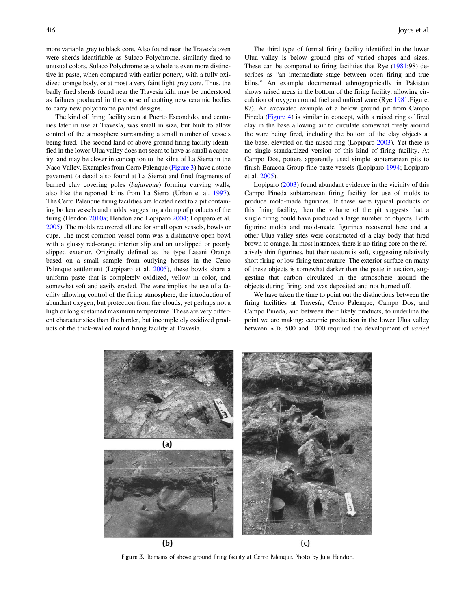more variable grey to black core. Also found near the Travesía oven were sherds identifiable as Sulaco Polychrome, similarly fired to unusual colors. Sulaco Polychrome as a whole is even more distinctive in paste, when compared with earlier pottery, with a fully oxidized orange body, or at most a very faint light grey core. Thus, the badly fired sherds found near the Travesía kiln may be understood as failures produced in the course of crafting new ceramic bodies to carry new polychrome painted designs.

The kind of firing facility seen at Puerto Escondido, and centuries later in use at Travesía, was small in size, but built to allow control of the atmosphere surrounding a small number of vessels being fired. The second kind of above-ground firing facility identified in the lower Ulua valley does not seem to have as small a capacity, and may be closer in conception to the kilns of La Sierra in the Naco Valley. Examples from Cerro Palenque (Figure 3) have a stone pavement (a detail also found at La Sierra) and fired fragments of burned clay covering poles (bajareque) forming curving walls, also like the reported kilns from La Sierra (Urban et al. 1997). The Cerro Palenque firing facilities are located next to a pit containing broken vessels and molds, suggesting a dump of products of the firing (Hendon 2010a; Hendon and Lopiparo 2004; Lopiparo et al. 2005). The molds recovered all are for small open vessels, bowls or cups. The most common vessel form was a distinctive open bowl with a glossy red-orange interior slip and an unslipped or poorly slipped exterior. Originally defined as the type Lasani Orange based on a small sample from outlying houses in the Cerro Palenque settlement (Lopiparo et al. 2005), these bowls share a uniform paste that is completely oxidized, yellow in color, and somewhat soft and easily eroded. The ware implies the use of a facility allowing control of the firing atmosphere, the introduction of abundant oxygen, but protection from fire clouds, yet perhaps not a high or long sustained maximum temperature. These are very different characteristics than the harder, but incompletely oxidized products of the thick-walled round firing facility at Travesía.

The third type of formal firing facility identified in the lower Ulua valley is below ground pits of varied shapes and sizes. These can be compared to firing facilities that Rye (1981:98) describes as "an intermediate stage between open firing and true kilns." An example documented ethnographically in Pakistan shows raised areas in the bottom of the firing facility, allowing circulation of oxygen around fuel and unfired ware (Rye 1981:Figure. 87). An excavated example of a below ground pit from Campo Pineda (Figure 4) is similar in concept, with a raised ring of fired clay in the base allowing air to circulate somewhat freely around the ware being fired, including the bottom of the clay objects at the base, elevated on the raised ring (Lopiparo 2003). Yet there is no single standardized version of this kind of firing facility. At Campo Dos, potters apparently used simple subterranean pits to finish Baracoa Group fine paste vessels (Lopiparo 1994; Lopiparo et al. 2005).

Lopiparo (2003) found abundant evidence in the vicinity of this Campo Pineda subterranean firing facility for use of molds to produce mold-made figurines. If these were typical products of this firing facility, then the volume of the pit suggests that a single firing could have produced a large number of objects. Both figurine molds and mold-made figurines recovered here and at other Ulua valley sites were constructed of a clay body that fired brown to orange. In most instances, there is no firing core on the relatively thin figurines, but their texture is soft, suggesting relatively short firing or low firing temperature. The exterior surface on many of these objects is somewhat darker than the paste in section, suggesting that carbon circulated in the atmosphere around the objects during firing, and was deposited and not burned off.

We have taken the time to point out the distinctions between the firing facilities at Travesía, Cerro Palenque, Campo Dos, and Campo Pineda, and between their likely products, to underline the point we are making: ceramic production in the lower Ulua valley between A.D. 500 and 1000 required the development of varied



Figure 3. Remains of above ground firing facility at Cerro Palenque. Photo by Julia Hendon.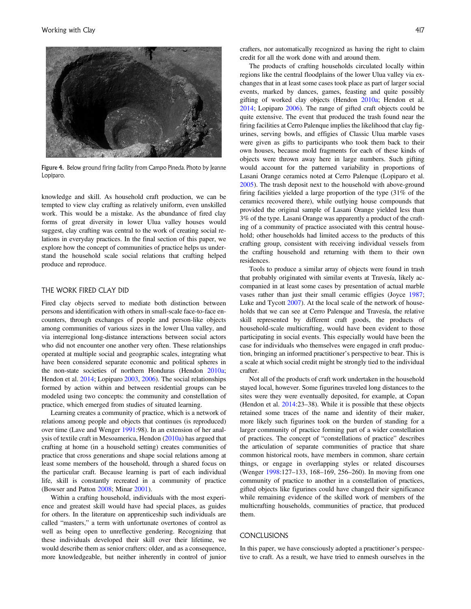

Figure 4. Below ground firing facility from Campo Pineda. Photo by Jeanne Lopiparo.

knowledge and skill. As household craft production, we can be tempted to view clay crafting as relatively uniform, even unskilled work. This would be a mistake. As the abundance of fired clay forms of great diversity in lower Ulua valley houses would suggest, clay crafting was central to the work of creating social relations in everyday practices. In the final section of this paper, we explore how the concept of communities of practice helps us understand the household scale social relations that crafting helped produce and reproduce.

## THE WORK FIRED CLAY DID

Fired clay objects served to mediate both distinction between persons and identification with others in small-scale face-to-face encounters, through exchanges of people and person-like objects among communities of various sizes in the lower Ulua valley, and via interregional long-distance interactions between social actors who did not encounter one another very often. These relationships operated at multiple social and geographic scales, integrating what have been considered separate economic and political spheres in the non-state societies of northern Honduras (Hendon 2010a; Hendon et al. 2014; Lopiparo 2003, 2006). The social relationships formed by action within and between residential groups can be modeled using two concepts: the community and constellation of practice, which emerged from studies of situated learning.

Learning creates a community of practice, which is a network of relations among people and objects that continues (is reproduced) over time (Lave and Wenger 1991:98). In an extension of her analysis of textile craft in Mesoamerica, Hendon (2010a) has argued that crafting at home (in a household setting) creates communities of practice that cross generations and shape social relations among at least some members of the household, through a shared focus on the particular craft. Because learning is part of each individual life, skill is constantly recreated in a community of practice (Bowser and Patton 2008; Minar 2001).

Within a crafting household, individuals with the most experience and greatest skill would have had special places, as guides for others. In the literature on apprenticeship such individuals are called "masters," a term with unfortunate overtones of control as well as being open to unreflective gendering. Recognizing that these individuals developed their skill over their lifetime, we would describe them as senior crafters: older, and as a consequence, more knowledgeable, but neither inherently in control of junior crafters, nor automatically recognized as having the right to claim credit for all the work done with and around them.

The products of crafting households circulated locally within regions like the central floodplains of the lower Ulua valley via exchanges that in at least some cases took place as part of larger social events, marked by dances, games, feasting and quite possibly gifting of worked clay objects (Hendon 2010a; Hendon et al. 2014; Lopiparo 2006). The range of gifted craft objects could be quite extensive. The event that produced the trash found near the firing facilities at Cerro Palenque implies the likelihood that clay figurines, serving bowls, and effigies of Classic Ulua marble vases were given as gifts to participants who took them back to their own houses, because mold fragments for each of these kinds of objects were thrown away here in large numbers. Such gifting would account for the patterned variability in proportions of Lasani Orange ceramics noted at Cerro Palenque (Lopiparo et al. 2005). The trash deposit next to the household with above-ground firing facilities yielded a large proportion of the type (31% of the ceramics recovered there), while outlying house compounds that provided the original sample of Lasani Orange yielded less than 3% of the type. Lasani Orange was apparently a product of the crafting of a community of practice associated with this central household; other households had limited access to the products of this crafting group, consistent with receiving individual vessels from the crafting household and returning with them to their own residences.

Tools to produce a similar array of objects were found in trash that probably originated with similar events at Travesía, likely accompanied in at least some cases by presentation of actual marble vases rather than just their small ceramic effigies (Joyce 1987; Luke and Tycott 2007). At the local scale of the network of households that we can see at Cerro Palenque and Travesía, the relative skill represented by different craft goods, the products of household-scale multicrafting, would have been evident to those participating in social events. This especially would have been the case for individuals who themselves were engaged in craft production, bringing an informed practitioner's perspective to bear. This is a scale at which social credit might be strongly tied to the individual crafter.

Not all of the products of craft work undertaken in the household stayed local, however. Some figurines traveled long distances to the sites were they were eventually deposited, for example, at Copan (Hendon et al. 2014:23–38). While it is possible that these objects retained some traces of the name and identity of their maker, more likely such figurines took on the burden of standing for a larger community of practice forming part of a wider constellation of practices. The concept of "constellations of practice" describes the articulation of separate communities of practice that share common historical roots, have members in common, share certain things, or engage in overlapping styles or related discourses (Wenger 1998:127–133, 168–169, 256–260). In moving from one community of practice to another in a constellation of practices, gifted objects like figurines could have changed their significance while remaining evidence of the skilled work of members of the multicrafting households, communities of practice, that produced them.

#### CONCLUSIONS

In this paper, we have consciously adopted a practitioner's perspective to craft. As a result, we have tried to enmesh ourselves in the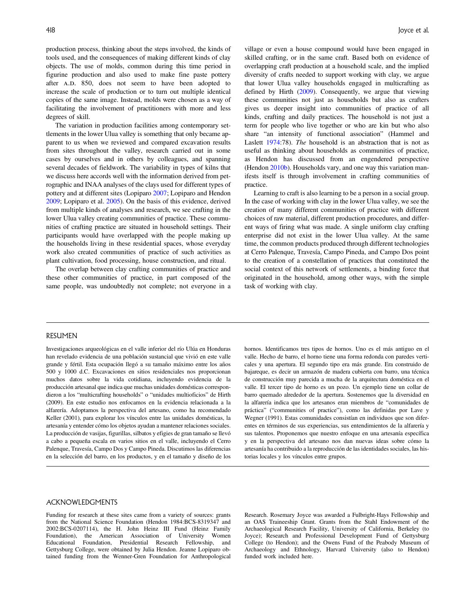production process, thinking about the steps involved, the kinds of tools used, and the consequences of making different kinds of clay objects. The use of molds, common during this time period in figurine production and also used to make fine paste pottery after A.D. 850, does not seem to have been adopted to increase the scale of production or to turn out multiple identical copies of the same image. Instead, molds were chosen as a way of facilitating the involvement of practitioners with more and less degrees of skill.

The variation in production facilities among contemporary settlements in the lower Ulua valley is something that only became apparent to us when we reviewed and compared excavation results from sites throughout the valley, research carried out in some cases by ourselves and in others by colleagues, and spanning several decades of fieldwork. The variability in types of kilns that we discuss here accords well with the information derived from petrographic and INAA analyses of the clays used for different types of pottery and at different sites (Lopiparo 2007; Lopiparo and Hendon 2009; Lopiparo et al. 2005). On the basis of this evidence, derived from multiple kinds of analyses and research, we see crafting in the lower Ulua valley creating communities of practice. These communities of crafting practice are situated in household settings. Their participants would have overlapped with the people making up the households living in these residential spaces, whose everyday work also created communities of practice of such activities as plant cultivation, food processing, house construction, and ritual.

The overlap between clay crafting communities of practice and these other communities of practice, in part composed of the same people, was undoubtedly not complete; not everyone in a

village or even a house compound would have been engaged in skilled crafting, or in the same craft. Based both on evidence of overlapping craft production at a household scale, and the implied diversity of crafts needed to support working with clay, we argue that lower Ulua valley households engaged in multicrafting as defined by Hirth (2009). Consequently, we argue that viewing these communities not just as households but also as crafters gives us deeper insight into communities of practice of all kinds, crafting and daily practices. The household is not just a term for people who live together or who are kin but who also share "an intensity of functional association" (Hammel and Laslett 1974:78). The household is an abstraction that is not as useful as thinking about households as communities of practice, as Hendon has discussed from an engendered perspective (Hendon 2010b). Households vary, and one way this variation manifests itself is through involvement in crafting communities of practice.

Learning to craft is also learning to be a person in a social group. In the case of working with clay in the lower Ulua valley, we see the creation of many different communities of practice with different choices of raw material, different production procedures, and different ways of firing what was made. A single uniform clay crafting enterprise did not exist in the lower Ulua valley. At the same time, the common products produced through different technologies at Cerro Palenque, Travesía, Campo Pineda, and Campo Dos point to the creation of a constellation of practices that constituted the social context of this network of settlements, a binding force that originated in the household, among other ways, with the simple task of working with clay.

#### RESUMEN

Investigaciones arqueológicas en el valle inferior del río Ulúa en Honduras han revelado evidencia de una población sustancial que vivió en este valle grande y fértil. Esta ocupación llegó a su tamaño máximo entre los años 500 y 1000 d.C. Excavaciones en sitios residenciales nos proporcionan muchos datos sobre la vida cotidiana, incluyendo evidencia de la producción artesanal que indica que muchas unidades domésticas correspondieron a los "multicrafting households" o "unidades multioficios" de Hirth (2009). En este estudio nos enfocamos en la evidencia relacionada a la alfarería. Adoptamos la perspectiva del artesano, como ha recomendado Keller (2001), para explorar los vínculos entre las unidades domésticas, la artesanía y entender cómo los objetos ayudan a mantener relaciones sociales. La producción de vasijas, figurillas, silbatos y efigies de gran tamaño se llevó a cabo a pequeña escala en varios sitios en el valle, incluyendo el Cerro Palenque, Travesía, Campo Dos y Campo Pineda. Discutimos las diferencias en la selección del barro, en los productos, y en el tamaño y diseño de los

hornos. Identificamos tres tipos de hornos. Uno es el más antiguo en el valle. Hecho de barro, el horno tiene una forma redonda con paredes verticales y una apertura. El segundo tipo era más grande. Era construido de bajareque, es decir un armazón de madera cubierta con barro, una técnica de construcción muy parecida a mucha de la arquitectura doméstica en el valle. El tercer tipo de horno es un pozo. Un ejemplo tiene un collar de barro quemado alrededor de la apertura. Sostenemos que la diversidad en la alfarería indica que los artesanos eran miembros de "comunidades de práctica" ("communities of practice"), como las definidas por Lave y Wegner (1991). Estas comunidades consistían en individuos que son diferentes en términos de sus experiencias, sus entendimientos de la alfarería y sus talentos. Proponemos que nuestro enfoque en una artesanía específica y en la perspectiva del artesano nos dan nuevas ideas sobre cómo la artesanía ha contribuido a la reproducción de las identidades sociales, las historias locales y los vínculos entre grupos.

#### ACKNOWLEDGMENTS

Funding for research at these sites came from a variety of sources: grants from the National Science Foundation (Hendon 1984:BCS-8319347 and 2002:BCS-0207114), the H. John Heinz III Fund (Heinz Family Foundation), the American Association of University Women Educational Foundation, Presidential Research Fellowship, and Gettysburg College, were obtained by Julia Hendon. Jeanne Lopiparo obtained funding from the Wenner-Gren Foundation for Anthropological

Research. Rosemary Joyce was awarded a Fulbright-Hays Fellowship and an OAS Traineeship Grant. Grants from the Stahl Endowment of the Archaeological Research Facility, University of California, Berkeley (to Joyce); Research and Professional Development Fund of Gettysburg College (to Hendon); and the Owens Fund of the Peabody Museum of Archaeology and Ethnology, Harvard University (also to Hendon) funded work included here.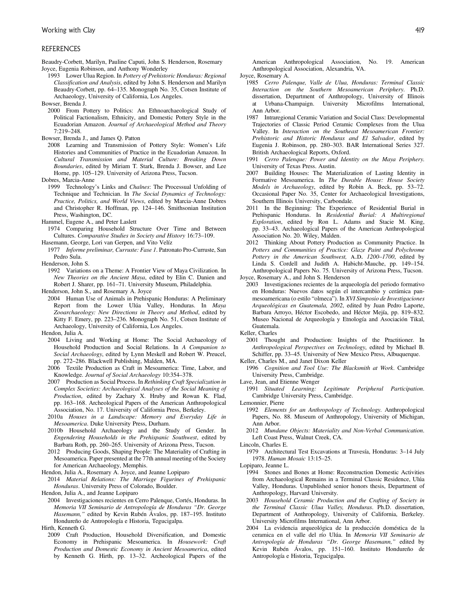#### REFERENCES

Beaudry-Corbett, Marilyn, Pauline Caputi, John S. Henderson, Rosemary Joyce, Eugenia Robinson, and Anthony Wonderley

1993 Lower Ulua Region. In Pottery of Prehistoric Honduras: Regional Classification and Analysis, edited by John S. Henderson and Marilyn Beaudry-Corbett, pp. 64–135. Monograph No. 35, Cotsen Institute of Archaeology, University of California, Los Angeles.

Bowser, Brenda J.

- 2000 From Pottery to Politics: An Ethnoarchaeological Study of Political Factionalism, Ethnicity, and Domestic Pottery Style in the Ecuadorian Amazon. Journal of Archaeological Method and Theory 7:219–248.
- Bowser, Brenda J., and James Q. Patton
- 2008 Learning and Transmission of Pottery Style: Women's Life Histories and Communities of Practice in the Ecuadorian Amazon. In Cultural Transmission and Material Culture: Breaking Down Boundaries, edited by Miriam T. Stark, Brenda J. Bowser, and Lee Horne, pp. 105–129. University of Arizona Press, Tucson.

Dobres, Marcia-Anne

- 1999 Technology's Links and Chaînes: The Processual Unfolding of Technique and Technician. In The Social Dynamics of Technology: Practice, Politics, and World Views, edited by Marcia-Anne Dobres and Christopher R. Hoffman, pp. 124–146. Smithsonian Institution Press, Washington, DC.
- Hammel, Eugene A., and Peter Laslett
- 1974 Comparing Household Structure Over Time and Between Cultures. Comparative Studies in Society and History 16:73–109.
- Hasemann, George, Lori van Gerpen, and Vito Velíz
- 1977 Informe preliminar, Curruste: Fase 1. Patronato Pro-Curruste, San Pedro Sula.

Henderson, John S.

1992 Variations on a Theme: A Frontier View of Maya Civilization. In New Theories on the Ancient Maya, edited by Elin C. Danien and Robert J. Sharer, pp. 161–71. University Museum, Philadelphia.

Henderson, John S., and Rosemary A. Joyce

2004 Human Use of Animals in Prehispanic Honduras: A Preliminary Report from the Lower Ulúa Valley, Honduras. In Maya Zooarchaeology: New Directions in Theory and Method, edited by Kitty F. Emery, pp. 223–236. Monograph No. 51, Cotsen Institute of Archaeology, University of California, Los Angeles.

Hendon, Julia A.

- 2004 Living and Working at Home: The Social Archaeology of Household Production and Social Relations. In A Companion to Social Archaeology, edited by Lynn Meskell and Robert W. Preucel, pp. 272–286. Blackwell Publishing, Malden, MA.
- 2006 Textile Production as Craft in Mesoamerica: Time, Labor, and Knowledge. Journal of Social Archaeology 10:354–378.
- 2007 Production as Social Process. In Rethinking Craft Specialization in Complex Societies: Archaeological Analyses of the Social Meaning of Production, edited by Zachary X. Hruby and Rowan K. Flad, pp. 163–168. Archeological Papers of the American Anthropological Association, No. 17. University of California Press, Berkeley.
- 2010a Houses in a Landscape: Memory and Everyday Life in Mesoamerica. Duke University Press, Durham.
- 2010b Household Archaeology and the Study of Gender. In Engendering Households in the Prehispanic Southwest, edited by Barbara Roth, pp. 260–265. University of Arizona Press, Tucson.
- 2012 Producing Goods, Shaping People: The Materiality of Crafting in Mesoamerica. Paper presented at the 77th annual meeting of the Society for American Archaeology, Memphis.

Hendon, Julia A., Rosemary A. Joyce, and Jeanne Lopiparo

2014 Material Relations: The Marriage Figurines of Prehispanic Honduras. University Press of Colorado, Boulder.

Hendon, Julia A., and Jeanne Lopiparo

2004 Investigaciones recientes en Cerro Palenque, Cortés, Honduras. In Memoria VII Seminario de Antropología de Honduras "Dr. George Hasemann," edited by Kevin Rubén Ávalos, pp. 187–195. Instituto Hondureño de Antropología e Historia, Tegucigalpa.

Hirth, Kenneth G.

2009 Craft Production, Household Diversification, and Domestic Economy in Prehispanic Mesoamerica. In Housework: Craft Production and Domestic Economy in Ancient Mesoamerica, edited by Kenneth G. Hirth, pp. 13–32. Archeological Papers of the

American Anthropological Association, No. 19. American Anthropological Association, Alexandria, VA.

Joyce, Rosemary A.

- 1985 Cerro Palenque, Valle de Ulua, Honduras: Terminal Classic Interaction on the Southern Mesoamerican Periphery. Ph.D. dissertation, Department of Anthropology, University of Illinois at Urbana-Champaign. University Microfilms International, Ann Arbor.
- 1987 Intraregional Ceramic Variation and Social Class: Developmental Trajectories of Classic Period Ceramic Complexes from the Ulua Valley. In Interaction on the Southeast Mesoamerican Frontier: Prehistoric and Historic Honduras and El Salvador, edited by Eugenia J. Robinson, pp. 280–303. BAR International Series 327. British Archaeological Reports, Oxford.
- 1991 Cerro Palenque: Power and Identity on the Maya Periphery. University of Texas Press. Austin.
- 2007 Building Houses: The Materialization of Lasting Identity in Formative Mesoamerica. In The Durable House: House Society Models in Archaeology, edited by Robin A. Beck, pp. 53–72. Occasional Paper No. 35, Center for Archaeological Investigations, Southern Illinois University, Carbondale.
- 2011 In the Beginning: The Experience of Residential Burial in Prehispanic Honduras. In Residential Burial: A Multiregional Exploration, edited by Ron L. Adams and Stacie M. King, pp. 33–43. Archaeological Papers of the American Anthropological Association No. 20. Wiley, Malden.
- 2012 Thinking About Pottery Production as Community Practice. In Potters and Communities of Practice: Glaze Paint and Polychrome Pottery in the American Southwest, A.D. 1200-1700, edited by Linda S. Cordell and Judith A. Habicht-Mauche, pp. 149–154. Anthropological Papers No. 75. University of Arizona Press, Tucson.

Joyce, Rosemary A., and John S. Henderson

2003 Investigaciones recientes de la arqueología del periodo formativo en Honduras: Nuevos datos según el intercambio y cerámica panmesoamericana (o estilo "olmeca"). In XVI Simposio de Investigaciones Arqueológicas en Guatemala, 2002, edited by Juan Pedro Laporte, Barbara Arroyo, Héctor Escobedo, and Héctor Mejía, pp. 819–832. Museo Nacional de Arqueología y Etnología and Asociación Tikal, Guatemala.

- 2001 Thought and Production: Insights of the Practitioner. In Anthropological Perspectives on Technology, edited by Michael B. Schiffer, pp. 33–45. University of New Mexico Press, Albuquerque.
- Keller, Charles M., and Janet Dixon Keller
- 1996 Cognition and Tool Use: The Blacksmith at Work. Cambridge University Press, Cambridge.

Lave, Jean, and Etienne Wenger

1991 Situated Learning: Legitimate Peripheral Participation. Cambridge University Press, Cambridge.

Lemonnier, Pierre

- 1992 Elements for an Anthropology of Technology. Anthropological Papers, No. 88. Museum of Anthropology, University of Michigan, Ann Arbor.
- 2012 Mundane Objects: Materiality and Non-Verbal Communication. Left Coast Press, Walnut Creek, CA.

1979 Architectural Test Excavations at Travesía, Honduras: 3–14 July 1978. Human Mosaic 13:15–25.

Lopiparo, Jeanne L.

- 1994 Stones and Bones at Home: Reconstruction Domestic Activities from Archaeological Remains in a Terminal Classic Residence, Ulúa Valley, Honduras. Unpublished senior honors thesis, Department of Anthropology, Harvard University.
- 2003 Household Ceramic Production and the Crafting of Society in the Terminal Classic Ulua Valley, Honduras. Ph.D. dissertation, Department of Anthropology, University of California, Berkeley. University Microfilms International, Ann Arbor.
- 2004 La evidencia arqueológica de la producción doméstica de la ceramica en el valle del río Ulúa. In Memoria VII Seminario de Antropología de Honduras "Dr. George Hasemann," edited by Kevin Rubén Ávalos, pp. 151–160. Instituto Hondureño de Antropología e Historia, Tegucigalpa.

Keller, Charles

Lincoln, Charles E.